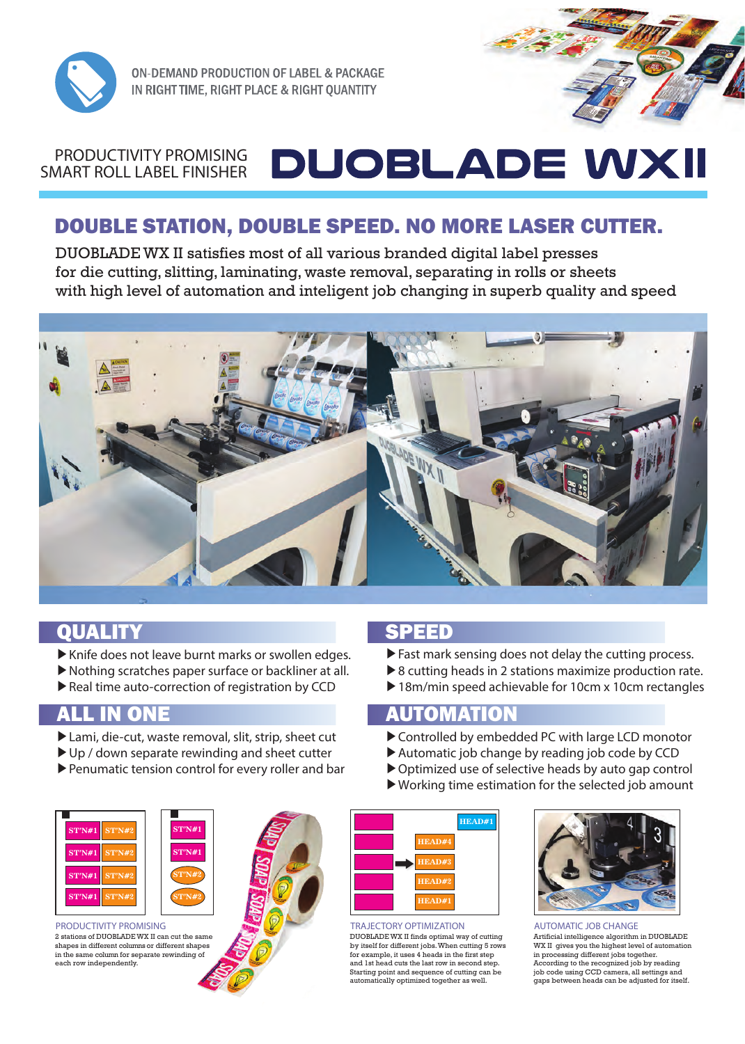

**ON-DEMAND PRODUCTION OF LABEL & PACKAGE** IN RIGHT TIME, RIGHT PLACE & RIGHT QUANTITY

### **DUOBLADE WXII**  PRODUCTIVITY PROMISING SMART ROLL LABEL FINISHER

# DOUBLE STATION, DOUBLE SPEED. NO MORE LASER CUTTER.

 DUOBLADE WX II satisfies most of all various branded digital label presses for die cutting, slitting, laminating, waste removal, separating in rolls or sheets with high level of automation and inteligent job changing in superb quality and speed



## **OUALITY CONTRACT OF SPEED**

- ▶Knife does not leave burnt marks or swollen edges.
- ▶Nothing scratches paper surface or backliner at all.
- ▶Real time auto-correction of registration by CCD

- ▶Lami, die-cut, waste removal, slit, strip, sheet cut
- ▶ Up / down separate rewinding and sheet cutter
- ▶Penumatic tension control for every roller and bar





PRODUCTIVITY PROMISING 2 stations of DUOBLADE WX II can cut the same shapes in different columns or different shapes in the same column for separate rewinding of each row independently



**HEAD#2 HEAD#3 HEAD#4 HEAD#1**

### TRAJECTORY OPTIMIZATION

DUOBLADE WX II finds optimal way of cutting by itself for different jobs. When cutting 5 rows for example, it uses 4 heads in the first step and 1st head cuts the last row in second step. Starting point and sequence of cutting can be automatically optimized together as well.



AUTOMATIC JOB CHANGE Artificial intelligence algorithm in DUOBLADE

WX II gives you the highest level of automation in processing different jobs together. According to the recognized job by reading job code using CCD camera, all settings and gaps between heads can be adjusted for itself.

- ▶Fast mark sensing does not delay the cutting process.
- ▶ 8 cutting heads in 2 stations maximize production rate.
- ▶ 18m/min speed achievable for 10cm x 10cm rectangles

## ALL IN ONE **AUTOMATION**

- ▶Controlled by embedded PC with large LCD monotor
- ▶Automatic job change by reading job code by CCD
- ▶Optimized use of selective heads by auto gap control
- ▶Working time estimation for the selected job amount